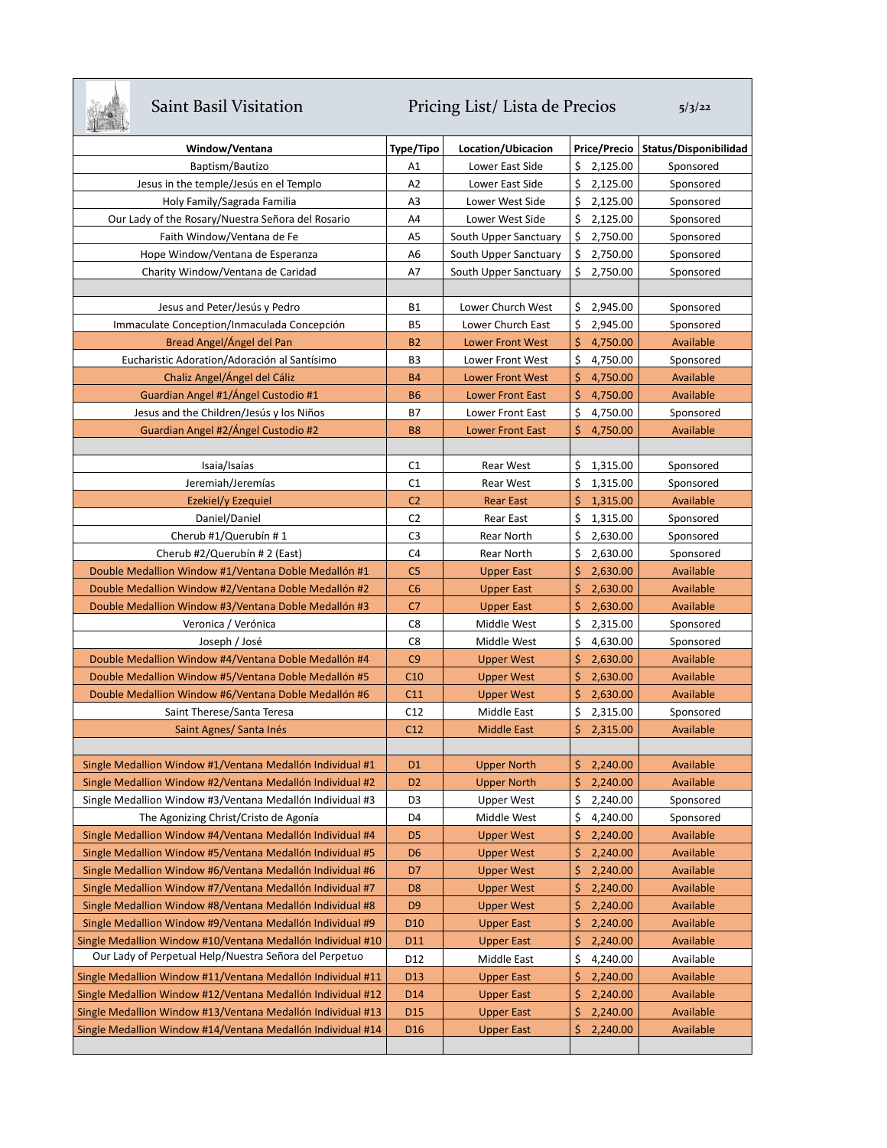## Saint Basil Visitation Pricing List/ Lista de Precios 5/3/22

| <b>The walk</b>                                             |                 |                         |     |              |                       |
|-------------------------------------------------------------|-----------------|-------------------------|-----|--------------|-----------------------|
| Window/Ventana                                              | Type/Tipo       | Location/Ubicacion      |     | Price/Precio | Status/Disponibilidad |
| Baptism/Bautizo                                             | A1              | Lower East Side         | \$  | 2,125.00     | Sponsored             |
| Jesus in the temple/Jesús en el Templo                      | A <sub>2</sub>  | Lower East Side         | \$  | 2,125.00     | Sponsored             |
| Holy Family/Sagrada Familia                                 | A3              | Lower West Side         | \$  | 2,125.00     | Sponsored             |
| Our Lady of the Rosary/Nuestra Señora del Rosario           | A4              | Lower West Side         | \$  | 2,125.00     | Sponsored             |
| Faith Window/Ventana de Fe                                  | A <sub>5</sub>  | South Upper Sanctuary   | \$  | 2,750.00     | Sponsored             |
| Hope Window/Ventana de Esperanza                            | A6              | South Upper Sanctuary   | \$  | 2,750.00     | Sponsored             |
| Charity Window/Ventana de Caridad                           | A7              | South Upper Sanctuary   | \$  | 2,750.00     | Sponsored             |
|                                                             |                 |                         |     |              |                       |
| Jesus and Peter/Jesús y Pedro                               | <b>B1</b>       | Lower Church West       | \$  | 2,945.00     | Sponsored             |
| Immaculate Conception/Inmaculada Concepción                 | <b>B5</b>       | Lower Church East       |     | \$2,945.00   | Sponsored             |
| Bread Angel/Ángel del Pan                                   | <b>B2</b>       | <b>Lower Front West</b> | Ś.  | 4,750.00     | Available             |
| Eucharistic Adoration/Adoración al Santísimo                | B <sub>3</sub>  | Lower Front West        | \$. | 4,750.00     | Sponsored             |
| Chaliz Angel/Ángel del Cáliz                                | <b>B4</b>       | <b>Lower Front West</b> | Ś.  | 4,750.00     | Available             |
| Guardian Angel #1/Ángel Custodio #1                         | <b>B6</b>       | <b>Lower Front East</b> | \$  | 4,750.00     | Available             |
| Jesus and the Children/Jesús y los Niños                    | <b>B7</b>       | Lower Front East        | \$. | 4,750.00     | Sponsored             |
| Guardian Angel #2/Ángel Custodio #2                         | <b>B8</b>       | <b>Lower Front East</b> | \$  | 4,750.00     | Available             |
|                                                             |                 |                         |     |              |                       |
| Isaia/Isaías                                                | C1              | <b>Rear West</b>        |     | \$1,315.00   | Sponsored             |
| Jeremiah/Jeremías                                           | C1              | <b>Rear West</b>        |     | \$1,315.00   | Sponsored             |
| Ezekiel/y Ezequiel                                          | C <sub>2</sub>  | <b>Rear East</b>        |     | \$1,315.00   | Available             |
| Daniel/Daniel                                               | C <sub>2</sub>  | Rear East               | \$. | 1,315.00     | Sponsored             |
| Cherub #1/Querubín #1                                       | C <sub>3</sub>  | Rear North              | \$  | 2,630.00     | Sponsored             |
| Cherub #2/Querubín # 2 (East)                               | C <sub>4</sub>  | Rear North              |     | \$2,630.00   | Sponsored             |
| Double Medallion Window #1/Ventana Doble Medallón #1        | C <sub>5</sub>  | <b>Upper East</b>       |     | \$2,630.00   | Available             |
| Double Medallion Window #2/Ventana Doble Medallón #2        | C6              | <b>Upper East</b>       |     | \$2,630.00   | Available             |
| Double Medallion Window #3/Ventana Doble Medallón #3        | C <sub>7</sub>  | <b>Upper East</b>       |     | \$2,630.00   | Available             |
| Veronica / Verónica                                         | C8              | Middle West             |     | \$2,315.00   | Sponsored             |
| Joseph / José                                               | C8              | Middle West             |     | \$4,630.00   | Sponsored             |
| Double Medallion Window #4/Ventana Doble Medallón #4        | C9              | <b>Upper West</b>       |     | \$2,630.00   | Available             |
| Double Medallion Window #5/Ventana Doble Medallón #5        | C10             | <b>Upper West</b>       |     | \$2,630.00   | Available             |
| Double Medallion Window #6/Ventana Doble Medallón #6        | C11             | <b>Upper West</b>       |     | \$2,630.00   | Available             |
| Saint Therese/Santa Teresa                                  | C12             | Middle East             | \$  | 2,315.00     | Sponsored             |
| Saint Agnes/ Santa Inés                                     | C12             | <b>Middle East</b>      | \$. | 2,315.00     | Available             |
|                                                             |                 |                         |     |              |                       |
| Single Medallion Window #1/Ventana Medallón Individual #1   | D <sub>1</sub>  | <b>Upper North</b>      |     | \$2,240.00   | Available             |
| Single Medallion Window #2/Ventana Medallón Individual #2   | D <sub>2</sub>  | <b>Upper North</b>      | \$  | 2,240.00     | Available             |
| Single Medallion Window #3/Ventana Medallón Individual #3   | D3              | <b>Upper West</b>       | \$  | 2,240.00     | Sponsored             |
| The Agonizing Christ/Cristo de Agonía                       | D4              | Middle West             | \$  | 4,240.00     | Sponsored             |
| Single Medallion Window #4/Ventana Medallón Individual #4   | D <sub>5</sub>  | <b>Upper West</b>       | \$  | 2,240.00     | Available             |
| Single Medallion Window #5/Ventana Medallón Individual #5   | D <sub>6</sub>  | <b>Upper West</b>       | \$  | 2,240.00     | Available             |
| Single Medallion Window #6/Ventana Medallón Individual #6   | D7              | <b>Upper West</b>       | \$  | 2,240.00     | Available             |
| Single Medallion Window #7/Ventana Medallón Individual #7   | D <sub>8</sub>  | <b>Upper West</b>       | \$  | 2,240.00     | Available             |
| Single Medallion Window #8/Ventana Medallón Individual #8   | D <sub>9</sub>  | <b>Upper West</b>       | \$  | 2,240.00     | Available             |
| Single Medallion Window #9/Ventana Medallón Individual #9   | D <sub>10</sub> | <b>Upper East</b>       | \$  | 2,240.00     | Available             |
| Single Medallion Window #10/Ventana Medallón Individual #10 | D11             | <b>Upper East</b>       | \$  | 2,240.00     | Available             |
| Our Lady of Perpetual Help/Nuestra Señora del Perpetuo      | D12             | Middle East             | \$  | 4,240.00     | Available             |
| Single Medallion Window #11/Ventana Medallón Individual #11 | D13             | <b>Upper East</b>       | \$  | 2,240.00     | Available             |
| Single Medallion Window #12/Ventana Medallón Individual #12 | D14             | <b>Upper East</b>       | \$  | 2,240.00     | Available             |
| Single Medallion Window #13/Ventana Medallón Individual #13 | D <sub>15</sub> | <b>Upper East</b>       | \$  | 2,240.00     | Available             |
| Single Medallion Window #14/Ventana Medallón Individual #14 | D <sub>16</sub> | <b>Upper East</b>       | \$. | 2,240.00     | Available             |